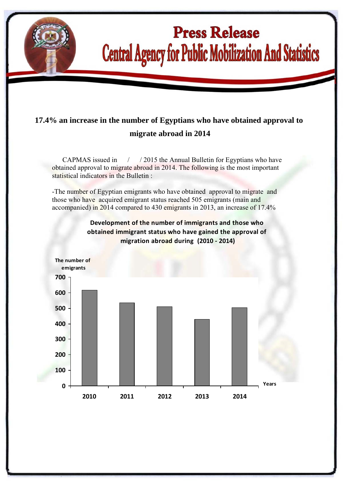

l

## **Press Release Central Agency for Public Mobilization And Statistics**

## **17.4% an increase in the number of Egyptians who have obtained approval to migrate abroad in 2014**

 CAPMAS issued in / / 2015 the Annual Bulletin for Egyptians who have obtained approval to migrate abroad in 2014. The following is the most important statistical indicators in the Bulletin :

-The number of Egyptian emigrants who have obtained approval to migrate and those who have acquired emigrant status reached 505 emigrants (main and accompanied) in 2014 compared to 430 emigrants in 2013, an increase of 17.4%



**Development of the number of immigrants and those who obtained immigrant status who have gained the approval of migration abroad during (2010 ‐ 2014)**